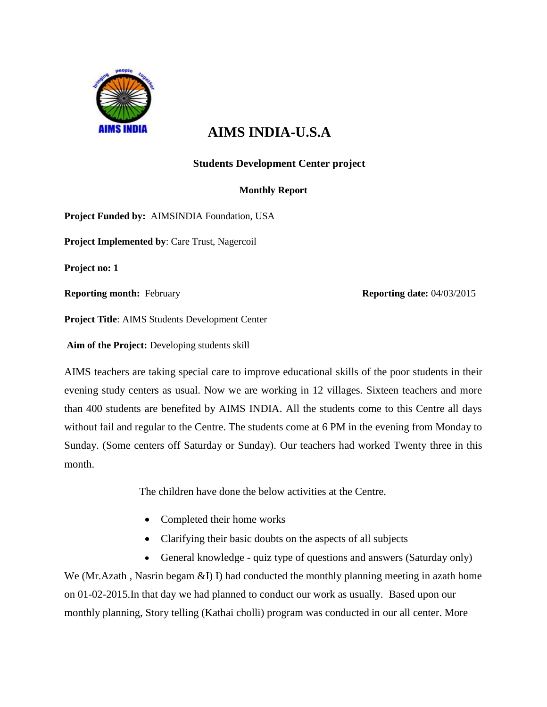

# **AIMS INDIA-U.S.A**

## **Students Development Center project**

## **Monthly Report**

**Project Funded by:** AIMSINDIA Foundation, USA

**Project Implemented by**: Care Trust, Nagercoil

**Project no: 1**

**Reporting month:** February **Reporting date:** 04/03/2015

**Project Title**: AIMS Students Development Center

**Aim of the Project:** Developing students skill

AIMS teachers are taking special care to improve educational skills of the poor students in their evening study centers as usual. Now we are working in 12 villages. Sixteen teachers and more than 400 students are benefited by AIMS INDIA. All the students come to this Centre all days without fail and regular to the Centre. The students come at 6 PM in the evening from Monday to Sunday. (Some centers off Saturday or Sunday). Our teachers had worked Twenty three in this month.

The children have done the below activities at the Centre.

- Completed their home works
- Clarifying their basic doubts on the aspects of all subjects
- General knowledge quiz type of questions and answers (Saturday only)

We (Mr.Azath, Nasrin begam &I) I) had conducted the monthly planning meeting in azath home on 01-02-2015.In that day we had planned to conduct our work as usually. Based upon our monthly planning, Story telling (Kathai cholli) program was conducted in our all center. More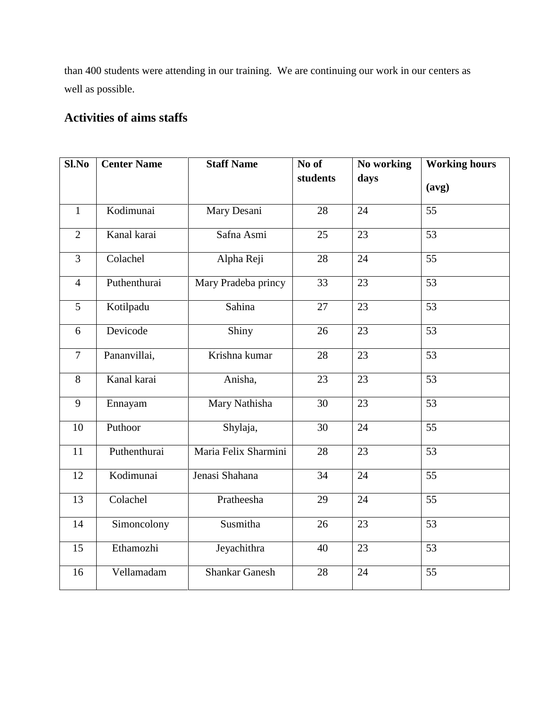than 400 students were attending in our training. We are continuing our work in our centers as well as possible.

# **Activities of aims staffs**

| Sl.No          | <b>Center Name</b>                  | <b>Staff Name</b>    | No of<br>students | No working<br>days | <b>Working hours</b> |
|----------------|-------------------------------------|----------------------|-------------------|--------------------|----------------------|
|                |                                     |                      |                   |                    | (avg)                |
| $\mathbf{1}$   | Kodimunai                           | Mary Desani          | 28                | $\overline{24}$    | $\overline{55}$      |
| $\overline{2}$ | Kanal karai                         | Safna Asmi           | 25                | $\overline{23}$    | $\overline{53}$      |
| 3              | Colachel                            | Alpha Reji           | 28                | 24                 | $\overline{55}$      |
| $\overline{4}$ | Puthenthurai                        | Mary Pradeba princy  | $\overline{33}$   | 23                 | $\overline{53}$      |
| 5              | Kotilpadu                           | Sahina               | 27                | 23                 | 53                   |
| 6              | Devicode                            | Shiny                | 26                | 23                 | 53                   |
| $\overline{7}$ | Pananvillai,                        | Krishna kumar        | 28                | 23                 | 53                   |
| 8              | Kanal karai                         | Anisha,              | 23                | 23                 | 53                   |
| 9              | Ennayam                             | Mary Nathisha        | 30                | 23                 | 53                   |
| 10             | Puthoor                             | Shylaja,             | 30                | 24                 | 55                   |
| 11             | Puthenthurai                        | Maria Felix Sharmini | 28                | 23                 | 53                   |
| 12             | Kodimunai                           | Jenasi Shahana       | 34                | 24                 | 55                   |
| 13             | Colachel                            | Pratheesha           | 29                | 24                 | $\overline{55}$      |
| 14             | Simoncolony                         | Susmitha             | 26                | 23                 | $\overline{53}$      |
| 15             | Ethamozhi                           | Jeyachithra          | 40                | 23                 | 53                   |
| 16             | <b>Shankar Ganesh</b><br>Vellamadam |                      | 28                | 24                 | 55                   |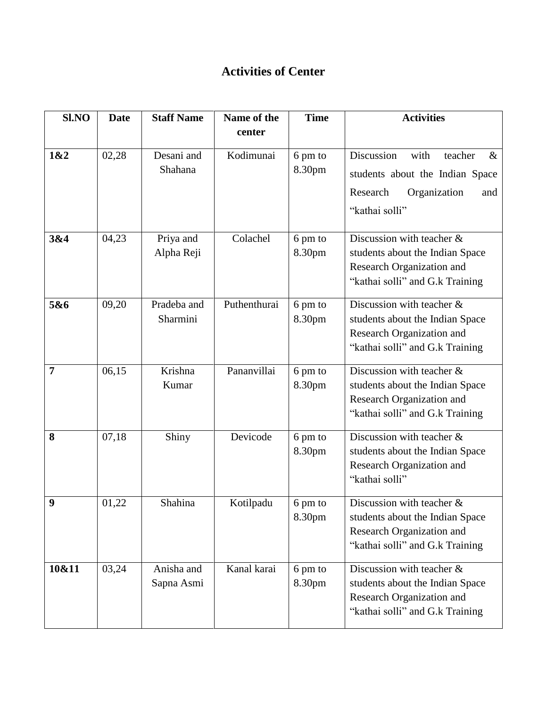## **Activities of Center**

| Sl.NO          | <b>Date</b> | <b>Staff Name</b>        | Name of the  | <b>Time</b>       | <b>Activities</b>                                                                                                               |
|----------------|-------------|--------------------------|--------------|-------------------|---------------------------------------------------------------------------------------------------------------------------------|
|                |             |                          | center       |                   |                                                                                                                                 |
| 1&2            | 02,28       | Desani and<br>Shahana    | Kodimunai    | 6 pm to<br>8.30pm | Discussion<br>with<br>teacher<br>$\&$<br>students about the Indian Space<br>Research<br>Organization<br>and<br>"kathai solli"   |
| 3&4            | 04,23       | Priya and<br>Alpha Reji  | Colachel     | 6 pm to<br>8.30pm | Discussion with teacher &<br>students about the Indian Space<br>Research Organization and<br>"kathai solli" and G.k Training    |
| 5&6            | 09,20       | Pradeba and<br>Sharmini  | Puthenthurai | 6 pm to<br>8.30pm | Discussion with teacher $\&$<br>students about the Indian Space<br>Research Organization and<br>"kathai solli" and G.k Training |
| $\overline{7}$ | 06,15       | Krishna<br>Kumar         | Pananvillai  | 6 pm to<br>8.30pm | Discussion with teacher $\&$<br>students about the Indian Space<br>Research Organization and<br>"kathai solli" and G.k Training |
| 8              | 07,18       | Shiny                    | Devicode     | 6 pm to<br>8.30pm | Discussion with teacher $\&$<br>students about the Indian Space<br>Research Organization and<br>"kathai solli"                  |
| 9              | 01,22       | Shahina                  | Kotilpadu    | 6 pm to<br>8.30pm | Discussion with teacher $\&$<br>students about the Indian Space<br>Research Organization and<br>"kathai solli" and G.k Training |
| 10&11          | 03,24       | Anisha and<br>Sapna Asmi | Kanal karai  | 6 pm to<br>8.30pm | Discussion with teacher $\&$<br>students about the Indian Space<br>Research Organization and<br>"kathai solli" and G.k Training |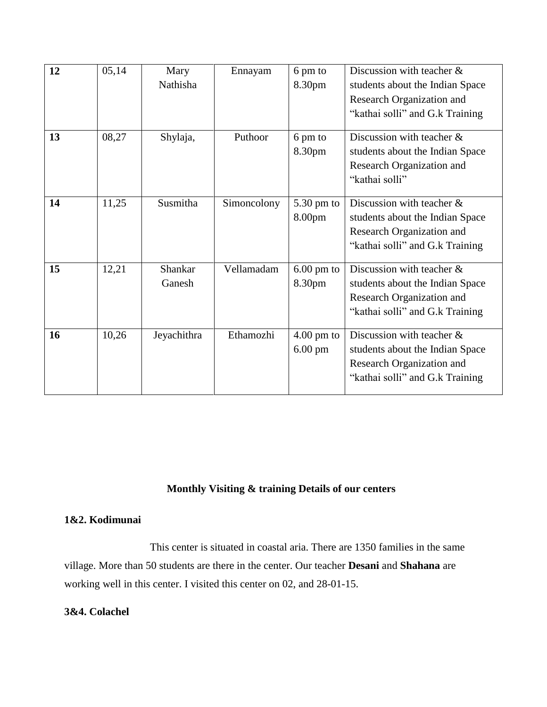| 12 | 05,14 | Mary<br>Nathisha  | Ennayam     | 6 pm to<br>8.30pm                         | Discussion with teacher $\&$<br>students about the Indian Space<br>Research Organization and<br>"kathai solli" and G.k Training |
|----|-------|-------------------|-------------|-------------------------------------------|---------------------------------------------------------------------------------------------------------------------------------|
| 13 | 08,27 | Shylaja,          | Puthoor     | 6 pm to<br>8.30pm                         | Discussion with teacher $\&$<br>students about the Indian Space<br>Research Organization and<br>"kathai solli"                  |
| 14 | 11,25 | Susmitha          | Simoncolony | $5.30 \text{ pm}$ to<br>8.00pm            | Discussion with teacher $\&$<br>students about the Indian Space<br>Research Organization and<br>"kathai solli" and G.k Training |
| 15 | 12,21 | Shankar<br>Ganesh | Vellamadam  | $6.00$ pm to<br>8.30pm                    | Discussion with teacher &<br>students about the Indian Space<br>Research Organization and<br>"kathai solli" and G.k Training    |
| 16 | 10,26 | Jeyachithra       | Ethamozhi   | $4.00 \text{ pm}$ to<br>$6.00 \text{ pm}$ | Discussion with teacher &<br>students about the Indian Space<br>Research Organization and<br>"kathai solli" and G.k Training    |

## **Monthly Visiting & training Details of our centers**

## **1&2. Kodimunai**

 This center is situated in coastal aria. There are 1350 families in the same village. More than 50 students are there in the center. Our teacher **Desani** and **Shahana** are working well in this center. I visited this center on 02, and 28-01-15.

## **3&4. Colachel**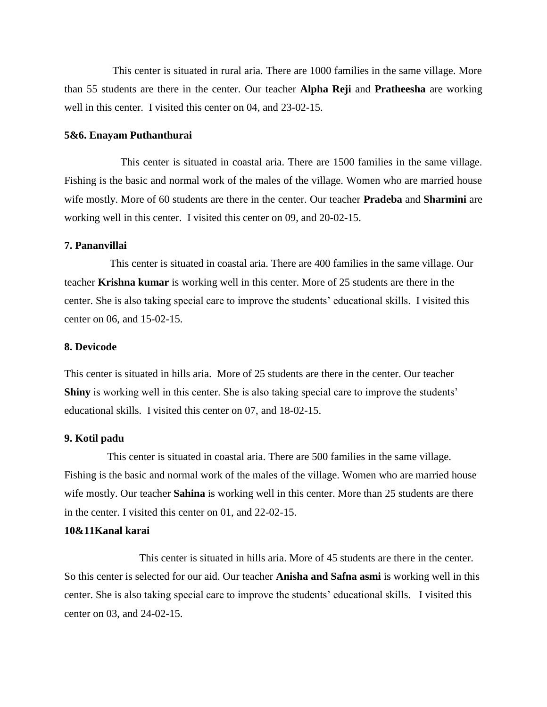This center is situated in rural aria. There are 1000 families in the same village. More than 55 students are there in the center. Our teacher **Alpha Reji** and **Pratheesha** are working well in this center. I visited this center on 04, and 23-02-15.

#### **5&6. Enayam Puthanthurai**

 This center is situated in coastal aria. There are 1500 families in the same village. Fishing is the basic and normal work of the males of the village. Women who are married house wife mostly. More of 60 students are there in the center. Our teacher **Pradeba** and **Sharmini** are working well in this center. I visited this center on 09, and 20-02-15.

#### **7. Pananvillai**

 This center is situated in coastal aria. There are 400 families in the same village. Our teacher **Krishna kumar** is working well in this center. More of 25 students are there in the center. She is also taking special care to improve the students' educational skills. I visited this center on 06, and 15-02-15.

#### **8. Devicode**

This center is situated in hills aria. More of 25 students are there in the center. Our teacher **Shiny** is working well in this center. She is also taking special care to improve the students' educational skills. I visited this center on 07, and 18-02-15.

#### **9. Kotil padu**

 This center is situated in coastal aria. There are 500 families in the same village. Fishing is the basic and normal work of the males of the village. Women who are married house wife mostly. Our teacher **Sahina** is working well in this center. More than 25 students are there in the center. I visited this center on 01, and 22-02-15.

### **10&11Kanal karai**

 This center is situated in hills aria. More of 45 students are there in the center. So this center is selected for our aid. Our teacher **Anisha and Safna asmi** is working well in this center. She is also taking special care to improve the students' educational skills. I visited this center on 03, and 24-02-15.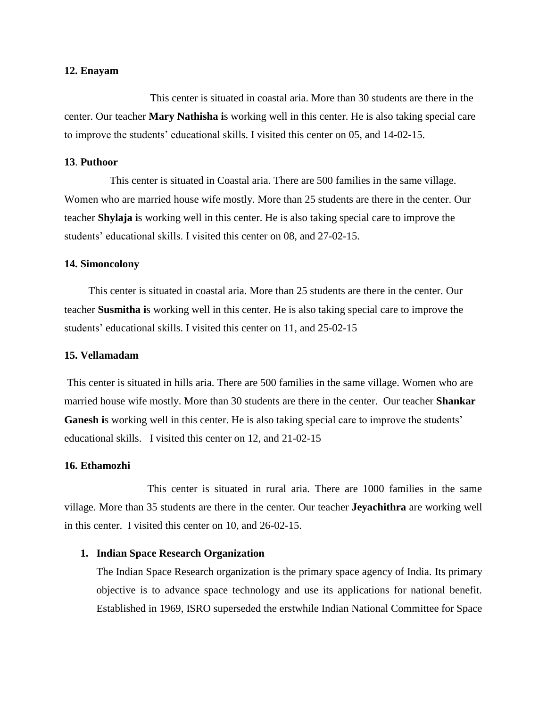#### **12. Enayam**

 This center is situated in coastal aria. More than 30 students are there in the center. Our teacher **Mary Nathisha i**s working well in this center. He is also taking special care to improve the students' educational skills. I visited this center on 05, and 14-02-15.

### **13**. **Puthoor**

 This center is situated in Coastal aria. There are 500 families in the same village. Women who are married house wife mostly. More than 25 students are there in the center. Our teacher **Shylaja i**s working well in this center. He is also taking special care to improve the students' educational skills. I visited this center on 08, and 27-02-15.

#### **14. Simoncolony**

 This center is situated in coastal aria. More than 25 students are there in the center. Our teacher **Susmitha i**s working well in this center. He is also taking special care to improve the students' educational skills. I visited this center on 11, and 25-02-15

#### **15. Vellamadam**

This center is situated in hills aria. There are 500 families in the same village. Women who are married house wife mostly. More than 30 students are there in the center. Our teacher **Shankar**  Ganesh is working well in this center. He is also taking special care to improve the students' educational skills. I visited this center on 12, and 21-02-15

#### **16. Ethamozhi**

This center is situated in rural aria. There are 1000 families in the same village. More than 35 students are there in the center. Our teacher **Jeyachithra** are working well in this center. I visited this center on 10, and 26-02-15.

#### **1. Indian Space Research Organization**

The Indian Space Research organization is the primary space agency of India. Its primary objective is to advance space technology and use its applications for national benefit. Established in 1969, ISRO superseded the erstwhile Indian National Committee for Space